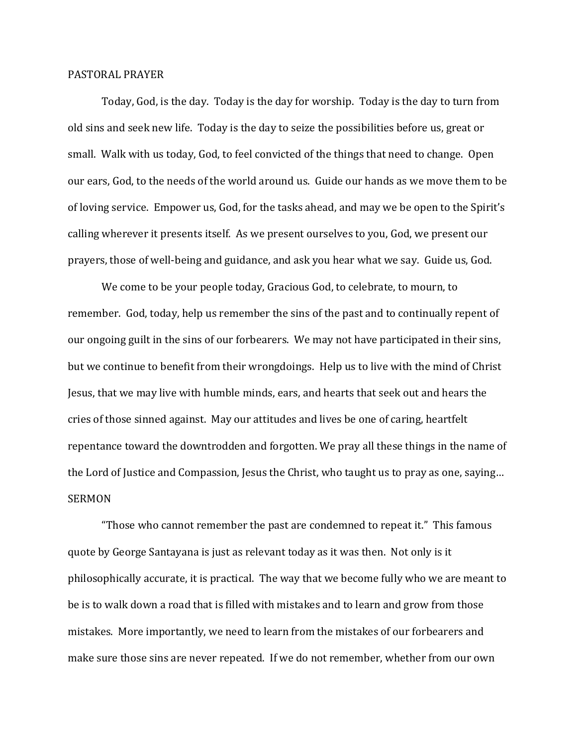## PASTORAL PRAYER

 Today, God, is the day. Today is the day for worship. Today is the day to turn from old sins and seek new life. Today is the day to seize the possibilities before us, great or small. Walk with us today, God, to feel convicted of the things that need to change. Open our ears, God, to the needs of the world around us. Guide our hands as we move them to be of loving service. Empower us, God, for the tasks ahead, and may we be open to the Spirit's calling wherever it presents itself. As we present ourselves to you, God, we present our prayers, those of well-being and guidance, and ask you hear what we say. Guide us, God.

 We come to be your people today, Gracious God, to celebrate, to mourn, to remember. God, today, help us remember the sins of the past and to continually repent of our ongoing guilt in the sins of our forbearers. We may not have participated in their sins, but we continue to benefit from their wrongdoings. Help us to live with the mind of Christ Jesus, that we may live with humble minds, ears, and hearts that seek out and hears the cries of those sinned against. May our attitudes and lives be one of caring, heartfelt repentance toward the downtrodden and forgotten. We pray all these things in the name of the Lord of Justice and Compassion, Jesus the Christ, who taught us to pray as one, saying… SERMON

 "Those who cannot remember the past are condemned to repeat it." This famous quote by George Santayana is just as relevant today as it was then. Not only is it philosophically accurate, it is practical. The way that we become fully who we are meant to be is to walk down a road that is filled with mistakes and to learn and grow from those mistakes. More importantly, we need to learn from the mistakes of our forbearers and make sure those sins are never repeated. If we do not remember, whether from our own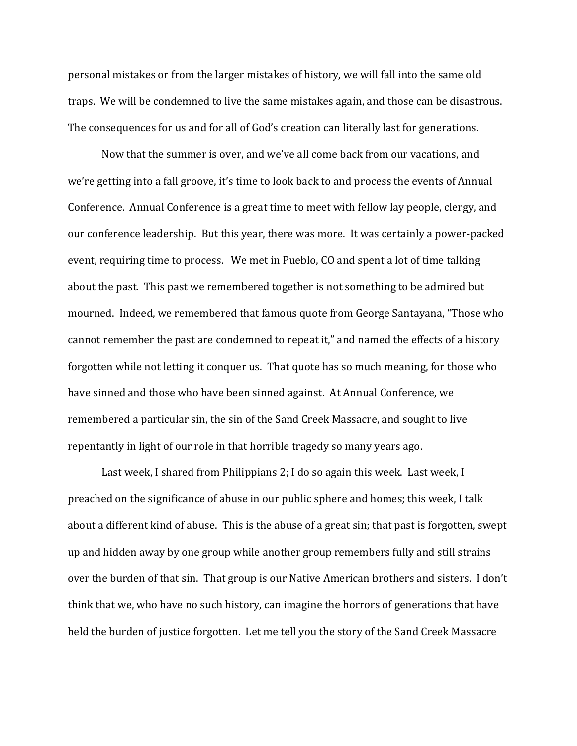personal mistakes or from the larger mistakes of history, we will fall into the same old traps. We will be condemned to live the same mistakes again, and those can be disastrous. The consequences for us and for all of God's creation can literally last for generations.

 Now that the summer is over, and we've all come back from our vacations, and we're getting into a fall groove, it's time to look back to and process the events of Annual Conference. Annual Conference is a great time to meet with fellow lay people, clergy, and our conference leadership. But this year, there was more. It was certainly a power-packed event, requiring time to process. We met in Pueblo, CO and spent a lot of time talking about the past. This past we remembered together is not something to be admired but mourned. Indeed, we remembered that famous quote from George Santayana, "Those who cannot remember the past are condemned to repeat it," and named the effects of a history forgotten while not letting it conquer us. That quote has so much meaning, for those who have sinned and those who have been sinned against. At Annual Conference, we remembered a particular sin, the sin of the Sand Creek Massacre, and sought to live repentantly in light of our role in that horrible tragedy so many years ago.

 Last week, I shared from Philippians 2; I do so again this week. Last week, I preached on the significance of abuse in our public sphere and homes; this week, I talk about a different kind of abuse. This is the abuse of a great sin; that past is forgotten, swept up and hidden away by one group while another group remembers fully and still strains over the burden of that sin. That group is our Native American brothers and sisters. I don't think that we, who have no such history, can imagine the horrors of generations that have held the burden of justice forgotten. Let me tell you the story of the Sand Creek Massacre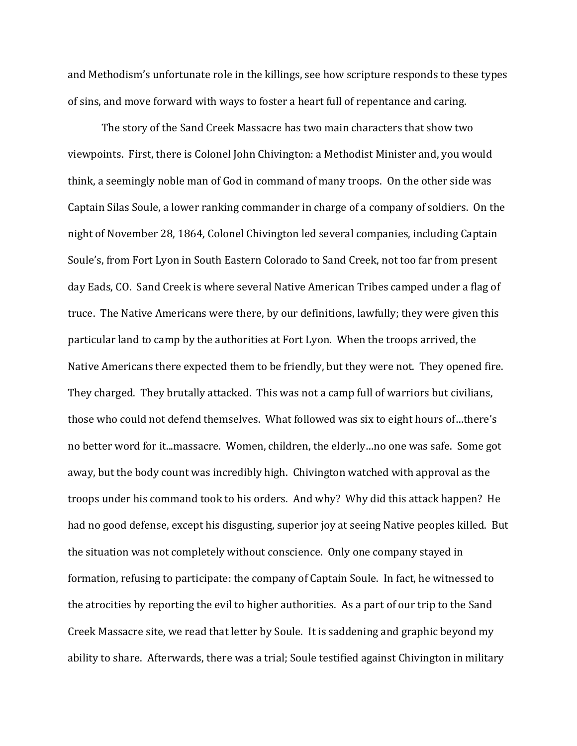and Methodism's unfortunate role in the killings, see how scripture responds to these types of sins, and move forward with ways to foster a heart full of repentance and caring.

 The story of the Sand Creek Massacre has two main characters that show two viewpoints. First, there is Colonel John Chivington: a Methodist Minister and, you would think, a seemingly noble man of God in command of many troops. On the other side was Captain Silas Soule, a lower ranking commander in charge of a company of soldiers. On the night of November 28, 1864, Colonel Chivington led several companies, including Captain Soule's, from Fort Lyon in South Eastern Colorado to Sand Creek, not too far from present day Eads, CO. Sand Creek is where several Native American Tribes camped under a flag of truce. The Native Americans were there, by our definitions, lawfully; they were given this particular land to camp by the authorities at Fort Lyon. When the troops arrived, the Native Americans there expected them to be friendly, but they were not. They opened fire. They charged. They brutally attacked. This was not a camp full of warriors but civilians, those who could not defend themselves. What followed was six to eight hours of…there's no better word for it...massacre. Women, children, the elderly…no one was safe. Some got away, but the body count was incredibly high. Chivington watched with approval as the troops under his command took to his orders. And why? Why did this attack happen? He had no good defense, except his disgusting, superior joy at seeing Native peoples killed. But the situation was not completely without conscience. Only one company stayed in formation, refusing to participate: the company of Captain Soule. In fact, he witnessed to the atrocities by reporting the evil to higher authorities. As a part of our trip to the Sand Creek Massacre site, we read that letter by Soule. It is saddening and graphic beyond my ability to share. Afterwards, there was a trial; Soule testified against Chivington in military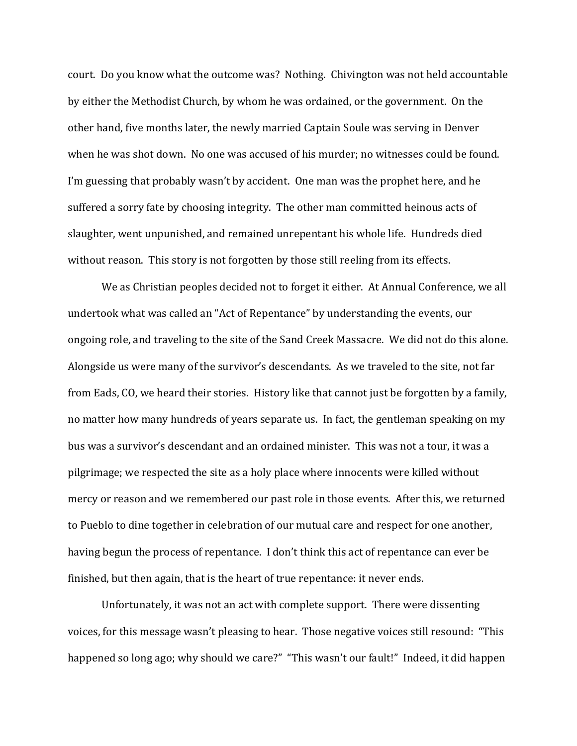court. Do you know what the outcome was? Nothing. Chivington was not held accountable by either the Methodist Church, by whom he was ordained, or the government. On the other hand, five months later, the newly married Captain Soule was serving in Denver when he was shot down. No one was accused of his murder; no witnesses could be found. I'm guessing that probably wasn't by accident. One man was the prophet here, and he suffered a sorry fate by choosing integrity. The other man committed heinous acts of slaughter, went unpunished, and remained unrepentant his whole life. Hundreds died without reason. This story is not forgotten by those still reeling from its effects.

 We as Christian peoples decided not to forget it either. At Annual Conference, we all undertook what was called an "Act of Repentance" by understanding the events, our ongoing role, and traveling to the site of the Sand Creek Massacre. We did not do this alone. Alongside us were many of the survivor's descendants. As we traveled to the site, not far from Eads, CO, we heard their stories. History like that cannot just be forgotten by a family, no matter how many hundreds of years separate us. In fact, the gentleman speaking on my bus was a survivor's descendant and an ordained minister. This was not a tour, it was a pilgrimage; we respected the site as a holy place where innocents were killed without mercy or reason and we remembered our past role in those events. After this, we returned to Pueblo to dine together in celebration of our mutual care and respect for one another, having begun the process of repentance. I don't think this act of repentance can ever be finished, but then again, that is the heart of true repentance: it never ends.

 Unfortunately, it was not an act with complete support. There were dissenting voices, for this message wasn't pleasing to hear. Those negative voices still resound: "This happened so long ago; why should we care?" "This wasn't our fault!" Indeed, it did happen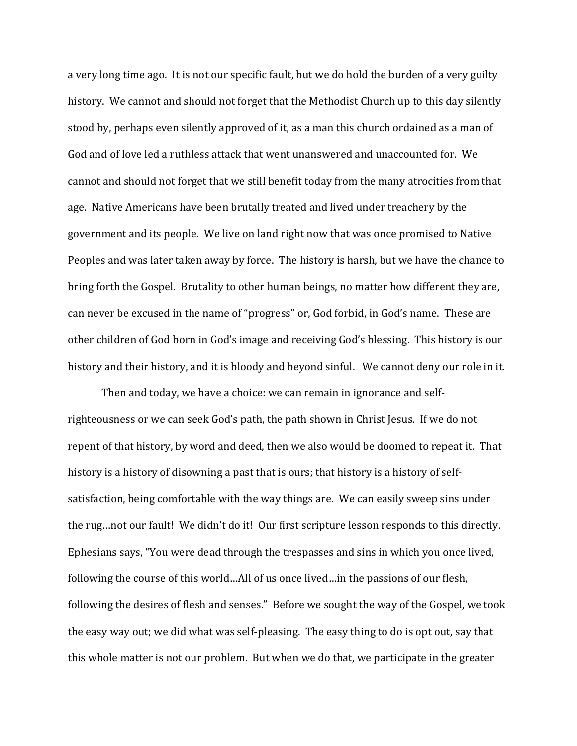a very long time ago. It is not our specific fault, but we do hold the burden of a very guilty history. We cannot and should not forget that the Methodist Church up to this day silently stood by, perhaps even silently approved of it, as a man this church ordained as a man of God and of love led a ruthless attack that went unanswered and unaccounted for. We cannot and should not forget that we still benefit today from the many atrocities from that age. Native Americans have been brutally treated and lived under treachery by the government and its people. We live on land right now that was once promised to Native Peoples and was later taken away by force. The history is harsh, but we have the chance to bring forth the Gospel. Brutality to other human beings, no matter how different they are, can never be excused in the name of "progress" or, God forbid, in God's name. These are other children of God born in God's image and receiving God's blessing. This history is our history and their history, and it is bloody and beyond sinful. We cannot deny our role in it.

Then and today, we have a choice: we can remain in ignorance and selfrighteousness or we can seek God's path, the path shown in Christ Jesus. If we do not repent of that history, by word and deed, then we also would be doomed to repeat it. That history is a history of disowning a past that is ours; that history is a history of selfsatisfaction, being comfortable with the way things are. We can easily sweep sins under the rug…not our fault! We didn't do it! Our first scripture lesson responds to this directly. Ephesians says, "You were dead through the trespasses and sins in which you once lived, following the course of this world…All of us once lived…in the passions of our flesh, following the desires of flesh and senses." Before we sought the way of the Gospel, we took the easy way out; we did what was self-pleasing. The easy thing to do is opt out, say that this whole matter is not our problem. But when we do that, we participate in the greater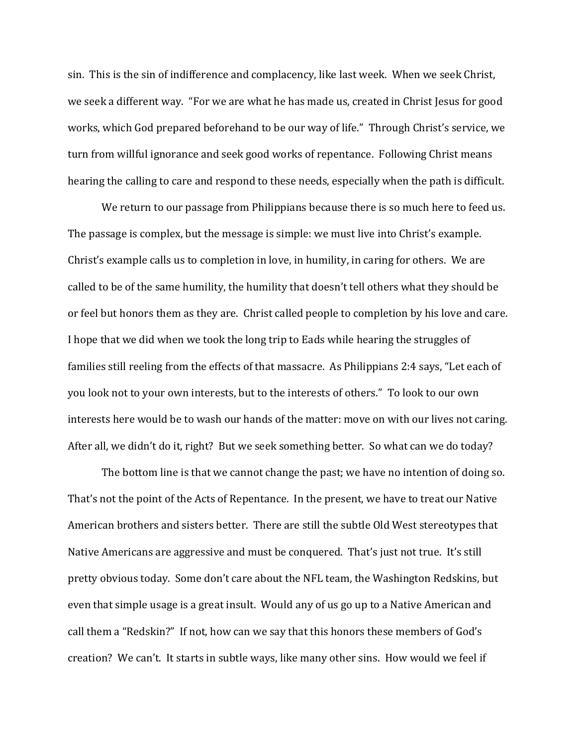sin. This is the sin of indifference and complacency, like last week. When we seek Christ, we seek a different way. "For we are what he has made us, created in Christ Jesus for good works, which God prepared beforehand to be our way of life." Through Christ's service, we turn from willful ignorance and seek good works of repentance. Following Christ means hearing the calling to care and respond to these needs, especially when the path is difficult.

 We return to our passage from Philippians because there is so much here to feed us. The passage is complex, but the message is simple: we must live into Christ's example. Christ's example calls us to completion in love, in humility, in caring for others. We are called to be of the same humility, the humility that doesn't tell others what they should be or feel but honors them as they are. Christ called people to completion by his love and care. I hope that we did when we took the long trip to Eads while hearing the struggles of families still reeling from the effects of that massacre. As Philippians 2:4 says, "Let each of you look not to your own interests, but to the interests of others." To look to our own interests here would be to wash our hands of the matter: move on with our lives not caring. After all, we didn't do it, right? But we seek something better. So what can we do today?

The bottom line is that we cannot change the past; we have no intention of doing so. That's not the point of the Acts of Repentance. In the present, we have to treat our Native American brothers and sisters better. There are still the subtle Old West stereotypes that Native Americans are aggressive and must be conquered. That's just not true. It's still pretty obvious today. Some don't care about the NFL team, the Washington Redskins, but even that simple usage is a great insult. Would any of us go up to a Native American and call them a "Redskin?" If not, how can we say that this honors these members of God's creation? We can't. It starts in subtle ways, like many other sins. How would we feel if